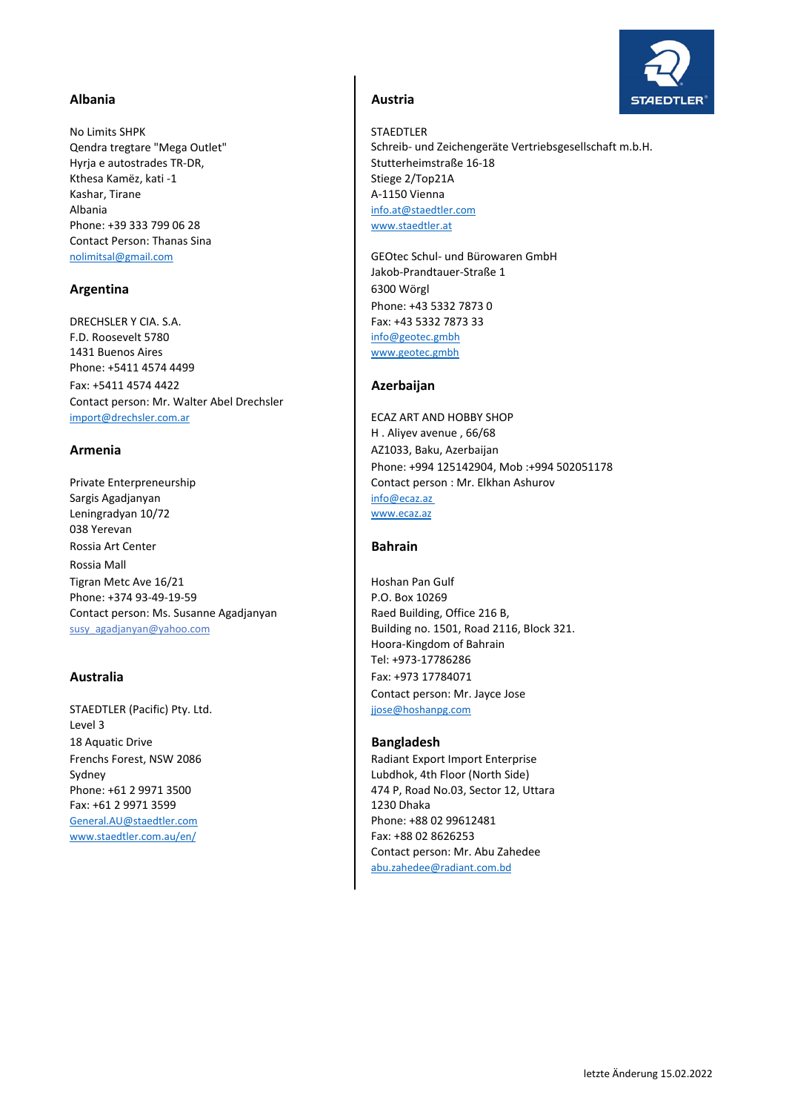# Albania **Austria** Austria

No Limits SHPK STAEDTLER Qendra tregtare "Mega Outlet" Hyria e autostrades TR-DR, Stutterheimstraße 16-18 Kthesa Kamëz, kati -1 Stiege 2/Top21A Kashar, Tirane A–1150 Vienna Albania info.at@staedtler.com Phone: +39 333 799 06 28 www.staedtler.at Contact Person: Thanas Sina

DRECHSLER Y CIA. S.A. Fax: +43 5332 7873 33 F.D. Roosevelt 5780 info@geotec.gmbh 1431 Buenos Aires **WALLACE SETEN STATES WAS ARRESTED FOR A STATE OF A WWW.geotec.gmbh** Phone: +5411 4574 4499 Fax: +5411 4574 4422 **Azerbaijan** Contact person: Mr. Walter Abel Drechsler import@drechsler.com.ar

Private Enterpreneurship Sargis Agadjanyan info@ecaz.az Leningradyan 10/72 038 Yerevan Rossia Art Center **Bahrain** Rossia Mall Tigran Metc Ave 16/21 **Hoshan Pan Gulf** Phone: +374 93-49-19-59 Phone: +374 93-49-19-59 Contact person: Ms. Susanne Agadjanyan | Raed Building, Office 216 B, susy\_agadjanyan@yahoo.com **Building no. 1501, Road 2116, Block 321.** 

STAEDTLER (Pacific) Pty. Ltd. jjose@hoshanpg.com Level 3 18 Aquatic Drive **Bangladesh** Fax: +61 2 9971 3599 1230 Dhaka General.AU@staedtler.com Phone: +88 02 99612481 www.staedtler.com.au/en/ Fax: +88 02 8626253

Schreib‐ und Zeichengeräte Vertriebsgesellschaft m.b.H.

nolimitsal@gmail.com GEOtec Schul- und Bürowaren GmbH Jakob‐Prandtauer‐Straße 1 **Argentina** 6300 Wörgl Phone: +43 5332 7873 0

**Armenia** Az1033, Baku, Azerbaijan ECAZ ART AND HOBBY SHOP www.ecaz.az H . Aliyev avenue , 66/68 Phone: +994 125142904, Mob :+994 502051178 Contact person : Mr. Elkhan Ashurov

Hoora‐Kingdom of Bahrain Tel: +973‐17786286 **Australia** Fax: +973 17784071 Contact person: Mr. Jayce Jose

Frenchs Forest, NSW 2086 Radiant Export Import Enterprise Sydney **Lubdhok, 4th Floor (North Side)** Phone: +61 2 9971 3500 474 P, Road No.03, Sector 12, Uttara Contact person: Mr. Abu Zahedee abu.zahedee@radiant.com.bd

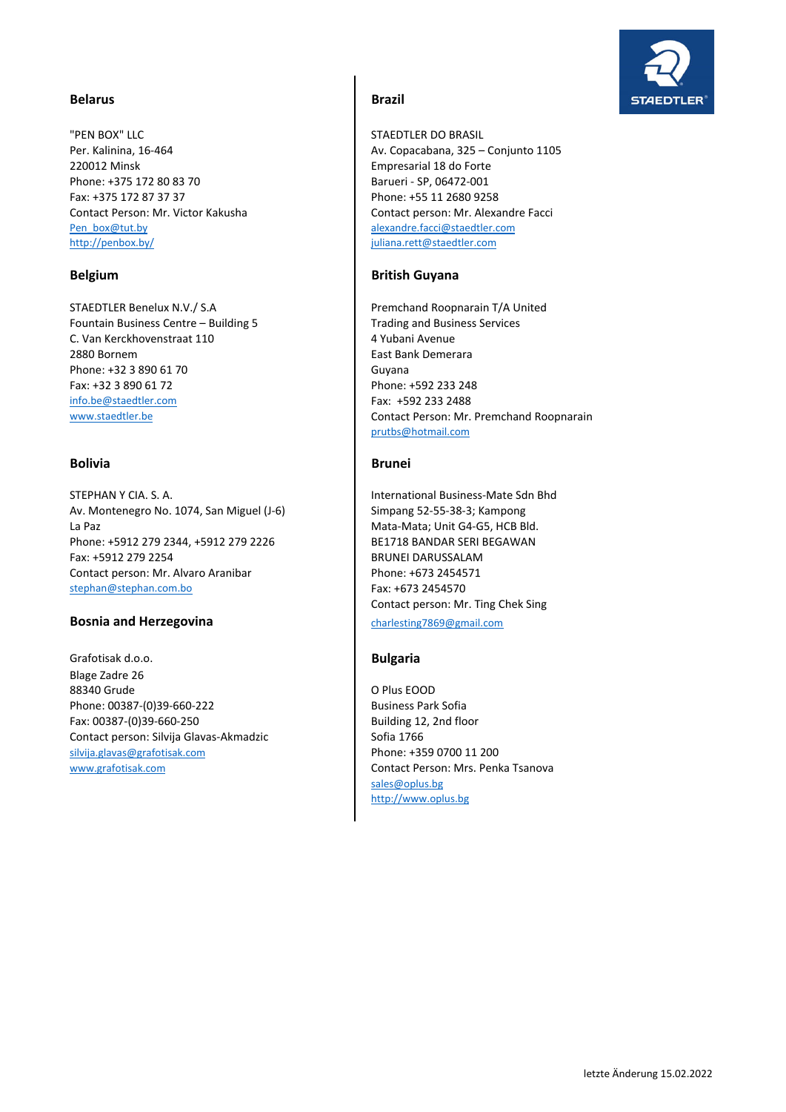# **STAEDTLER**

# **Belarus Brazil**

"PEN BOX" LLC STAEDTLER DO BRASIL 220012 Minsk Empresarial 18 do Forte Phone: +375 172 80 83 70 Barueri - SP, 06472-001 Fax: +375 172 87 37 37 Phone: +55 11 2680 9258 Pen\_box@tut.by alexandre.facci@staedtler.com<br>http://penbox.by/ alexandre.facci@staedtler.com

STAEDTLER Benelux N.V./ S.A Premchand Roopnarain T/A United Fountain Business Centre – Building 5 Trading and Business Services C. Van Kerckhovenstraat 110 **12 August 20 August 20 August 20 August 20 August 20 August 20 August 20 August 20 August 20 August 20 August 20 August 20 August 20 August 20 August 20 August 20 August 20 August 20 August 20** 2880 Bornem **East Bank Demerara** Phone: +32 3 890 61 70 Guyana Fax: +32 3 890 61 72 Phone: +592 233 248 info.be@staedtler.com Fax: +592 233 2488<br>www.staedtler.be Contact Person: Mr.

### **Bolivia Brunei**

STEPHAN Y CIA. S. A. International Business-Mate Sdn Bhd Av. Montenegro No. 1074, San Miguel (J-6) Simpang 52-55-38-3; Kampong La Paz **Mata** Mata‐Mata; Unit G4‐G5, HCB Bld. Phone: +5912 279 2344, +5912 279 2226 BE1718 BANDAR SERI BEGAWAN Fax: +5912 279 2254 BRUNEI DARUSSALAM Contact person: Mr. Alvaro Aranibar Phone: +673 2454571 stephan@stephan.com.bo Fax: +673 2454570

### **Bosnia and Herzegovina charlesting7869@gmail.com**

Grafotisak d.o.o. **Bulgaria** Blage Zadre 26 88340 Grude **O Plus EOOD** Phone: 00387-(0)39-660-222 **Business Park Sofia** Fax: 00387-(0)39-660-250 **Building 12, 2nd floor** Contact person: Silvija Glavas-Akmadzic Sofia 1766 silvija.glavas@grafotisak.com Phone: +359 0700 11 200

Per. Kalinina, 16-464 **August 2018** Av. Copacabana, 325 – Conjunto 1105 Contact Person: Mr. Victor Kakusha Contact person: Mr. Alexandre Facci juliana.rett@staedtler.com

### **Belgium British Guyana**

Contact Person: Mr. Premchand Roopnarain prutbs@hotmail.com

Contact person: Mr. Ting Chek Sing

www.grafotisak.com Contact Person: Mrs. Penka Tsanova sales@oplus.bg http://www.oplus.bg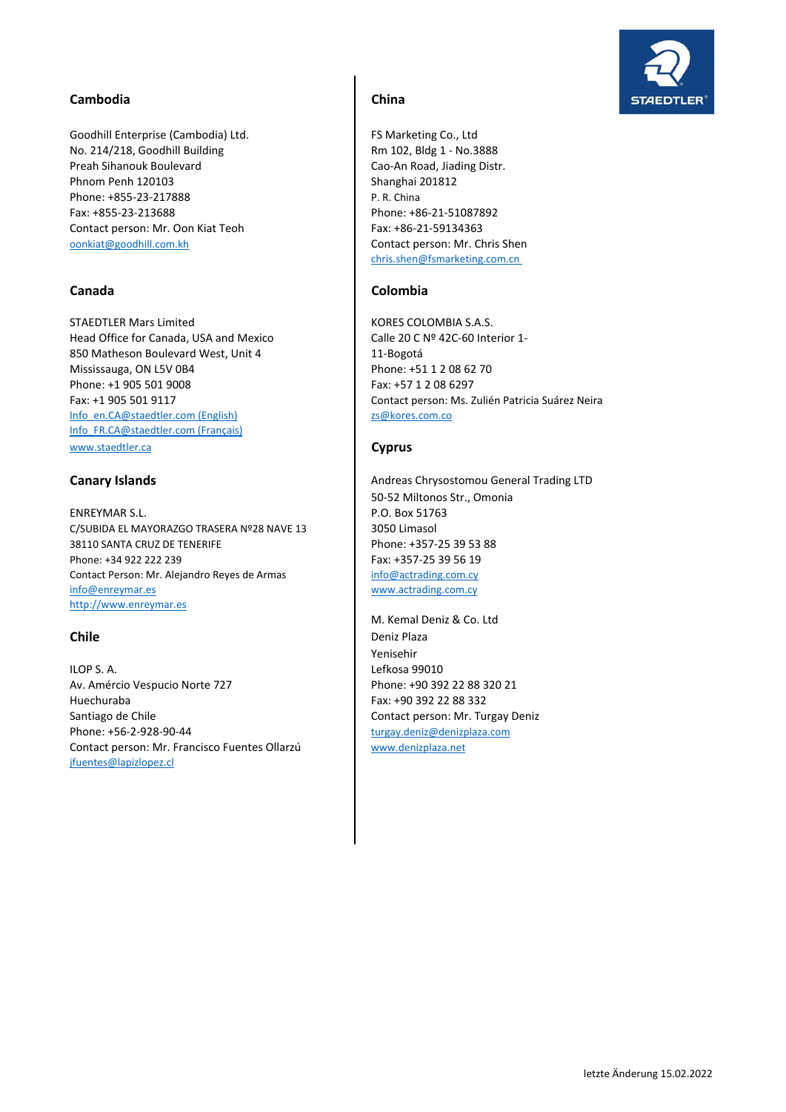# Cambodia **Cambodia** China

Goodhill Enterprise (Cambodia) Ltd. **FS Marketing Co.**, Ltd No. 214/218, Goodhill Building Rm 102, Bldg 1 - No.3888 Preah Sihanouk Boulevard **Cao-An Road, Jiading Distr.** Phnom Penh 120103 Shanghai 201812 Phone: +855-23-217888 Phone: +855-23-217888 Fax: +855-23-213688 Phone: +86-21-51087892<br>Contact person: Mr. Oon Kiat Teoh Fax: +86-21-59134363 Contact person: Mr. Oon Kiat Teoh oonkiat@goodhill.com.kh Contact person: Mr. Chris Shen

STAEDTLER Mars Limited KORES COLOMBIA S.A.S. Head Office for Canada, USA and Mexico Calle 20 C Nº 42C-60 Interior 1-850 Matheson Boulevard West, Unit 4 11-Bogotá Mississauga, ON L5V 0B4 Phone: +51 1 2 08 62 70 Phone: +1 905 501 9008 Fax: +57 1 2 08 6297 Info\_en.CA@staedtler.com (English) zs@kores.com.com Info\_FR.CA@staedtler.com (Français) www.staedtler.ca **Cyprus**

ENREYMAR S.L. P.O. Box 51763 C/SUBIDA EL MAYORAZGO TRASERA Nº28 NAVE 13 3050 Limasol 38110 SANTA CRUZ DE TENERIFE Phone: +357-25 39 53 88 Phone: +34 922 222 239 Fax: +357-25 39 56 19 Contact Person: Mr. Alejandro Reyes de Armas info@actrading.com.cv info@enreymar.es www.actrading.com.cy http://www.enreymar.es

ILOP S. A. Lefkosa 99010 Av. Amércio Vespucio Norte 727 Phone: +90 392 22 88 320 21 Huechuraba Fax: +90 392 22 88 332 Santiago de Chile Contact person: Mr. Turgay Deniz Phone: +56-2-928-90-44 turgay.deniz@denizplaza.com Contact person: Mr. Francisco Fuentes Ollarzú | www.denizplaza.net jfuentes@lapizlopez.cl

chris.shen@fsmarketing.com.cn

# **Canada Colombia**

Fax: +1 905 501 9117 Contact person: Ms. Zulién Patricia Suárez Neira

**Canary Islands Canary Islands Andreas Chrysostomou General Trading LTD Andreas Chrysostomou General Trading LTD** 50‐52 Miltonos Str., Omonia

M. Kemal Deniz & Co. Ltd **Chile** Deniz Plaza Yenisehir

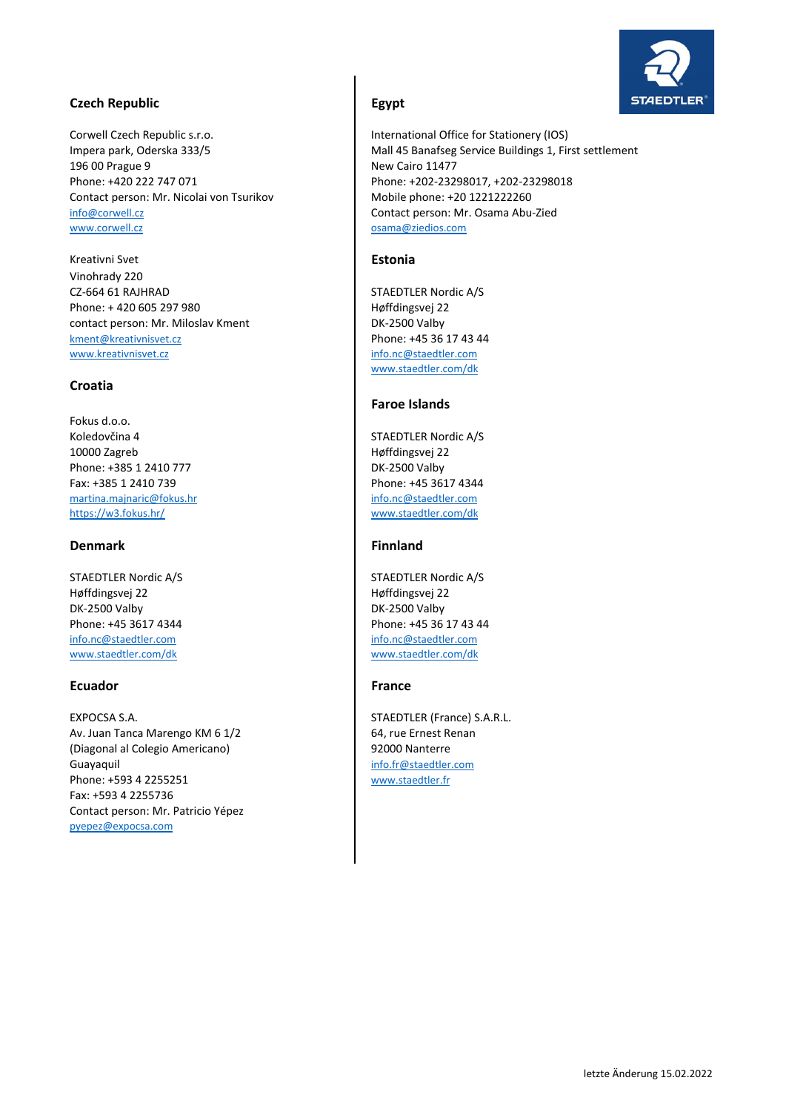# **STAEDTLER**

# **Czech Republic Egypt**

Corwell Czech Republic s.r.o. International Office for Stationery (IOS) 196 00 Prague 9 New Cairo 11477 Contact person: Mr. Nicolai von Tsurikov Mobile phone: +20 1221222260 info@corwell.cz Contact person: Mr. Osama Abu‐Zied

Kreativni Svet **Estonia** Vinohrady 220 CZ-664 61 RAJHRAD STAEDTLER Nordic A/S Phone: + 420 605 297 980 Høffdingsvej 22 contact person: Mr. Miloslav Kment DK-2500 Valby kment@kreativnisvet.cz Phone: +45 36 17 43 44<br>www.kreativnisvet.cz info.nc@staedtler.com www.kreativnisvet.cz

### **Croatia**

Fokus d.o.o. Koledovčina 4 STAEDTLER Nordic A/S 10000 Zagreb **Høffdingsvej 22** Phone: +385 1 2410 777 DK-2500 Valby Fax: +385 1 2410 739<br>
martina.majnaric@fokus.hr<br>
martina.majnaric@fokus.hr<br>
martina.majnaric@fokus.hr martina.majnaric@fokus.hr<br>https://w3.fokus.hr/

# **Denmark Community Finnland**

STAEDTLER Nordic A/S STAEDTLER Nordic A/S Høffdingsvej 22 Høffdingsvej 22 DK‐2500 Valby DK‐2500 Valby info.nc@staedtler.com info.nc@staedtler.com www.staedtler.com/dk www.staedtler.com/dk

# **Ecuador France**

EXPOCSA S.A. STAEDTLER (France) S.A.R.L. Av. Juan Tanca Marengo KM 6 1/2 64, rue Ernest Renan (Diagonal al Colegio Americano) 92000 Nanterre Guayaquil info.fr@staedtler.com Phone: +593 4 2255251 www.staedtler.fr Fax: +593 4 2255736 Contact person: Mr. Patricio Yépez pyepez@expocsa.com

Impera park, Oderska 333/5 Mall 45 Banafseg Service Buildings 1, First settlement Phone: +420 222 747 071 Phone: +202‐23298017, +202‐23298018 osama@ziedios.com

www.staedtler.com/dk

# **Faroe Islands**

www.staedtler.com/dk

Phone: +45 3617 4344 Phone: +45 36 17 43 44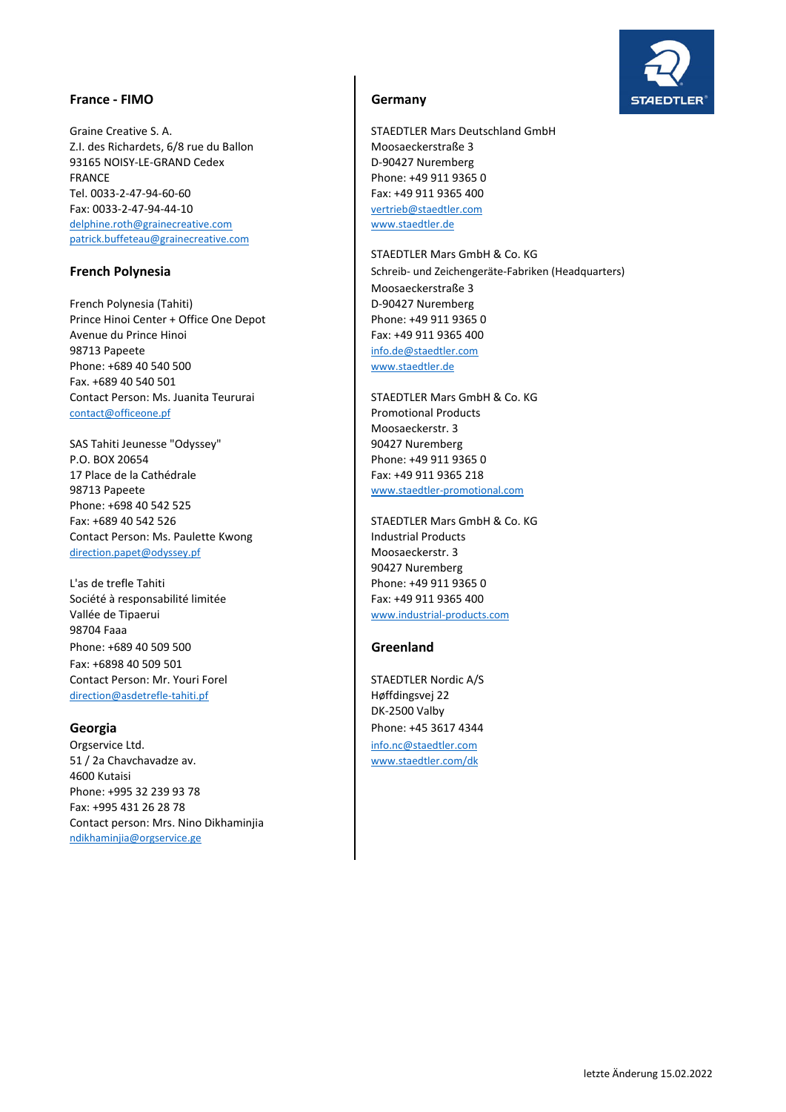### **France ‐ FIMO Germany**

Graine Creative S. A. STAEDTLER Mars Deutschland GmbH Z.I. des Richardets, 6/8 rue du Ballon Moosaeckerstraße 3 93165 NOISY-LE-GRAND Cedex **Department Control** D-90427 Nuremberg FRANCE Phone: +49 911 9365 0 Tel. 0033-2-47-94-60-60 Fax: +49 911 9365 400 Fax: 0033‐2‐47‐94‐44‐10 vertrieb@staedtler.com delphine.roth@grainecreative.com www.staedtler.de patrick.buffeteau@grainecreative.com

French Polynesia (Tahiti) D-90427 Nuremberg Prince Hinoi Center + Office One Depot Phone: +49 911 9365 0 Avenue du Prince Hinoi **Fax: +49 911 9365 400** 98713 Papeete info.de@staedtler.com Phone: +689 40 540 500 www.staedtler.de Fax. +689 40 540 501 Contact Person: Ms. Juanita Teururai STAEDTLER Mars GmbH & Co. KG contact@officeone.pf **Promotional Products** 

SAS Tahiti Jeunesse "Odyssey" 90427 Nuremberg P.O. BOX 20654 P.O. BOX 20654 17 Place de la Cathédrale Fax: +49 911 9365 218 98713 Papeete www.staedtler‐promotional.com Phone: +698 40 542 525 Fax: +689 40 542 526 STAEDTLER Mars GmbH & Co. KG Contact Person: Ms. Paulette Kwong **Industrial Products** direction.papet@odyssey.pf Moosaeckerstr. 3

L'as de trefle Tahiti **Phone: +49 911 9365 0** Société à responsabilité limitée Fax: +49 911 9365 400 Vallée de Tipaerui www.industrial‐products.com 98704 Faaa Phone: +689 40 509 500 **Greenland** Fax: +6898 40 509 501 Contact Person: Mr. Youri Forel STAEDTLER Nordic A/S direction@asdetrefle-tahiti.pf **Høffdingsvej 22** 

Orgservice Ltd. info.nc@staedtler.com 51 / 2a Chavchavadze av. www.staedtler.com/dk 4600 Kutaisi Phone: +995 32 239 93 78 Fax: +995 431 26 28 78 Contact person: Mrs. Nino Dikhaminjia ndikhaminjia@orgservice.ge

STAEDTLER Mars GmbH & Co. KG **French Polynesia** Schreib- und Zeichengeräte-Fabriken (Headquarters) Schreib- und Zeichengeräte-Fabriken (Headquarters) Moosaeckerstraße 3

Moosaeckerstr. 3

90427 Nuremberg

DK‐2500 Valby **Georgia Phone: +45 3617 4344** 

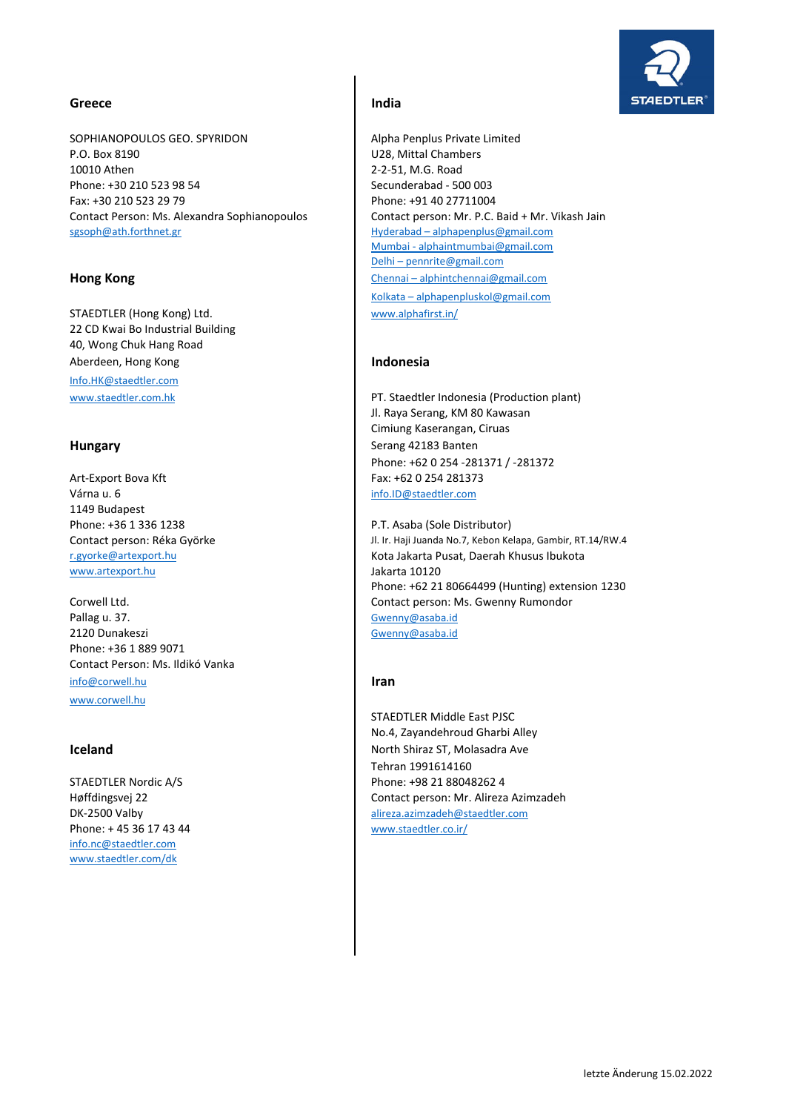### **Greece India**

SOPHIANOPOULOS GEO. SPYRIDON Alpha Penplus Private Limited P.O. Box 8190 U28, Mittal Chambers 10010 Athen 2-2-51, M.G. Road Phone: +30 210 523 98 54 Secunderabad - 500 003 Fax: +30 210 523 29 79 Phone: +91 40 27711004 Contact Person: Ms. Alexandra Sophianopoulos Contact person: Mr. P.C. Baid + Mr. Vikash Jain sgsoph@ath.forthnet.gr Hyderabad – alphapenplus@gmail.com

STAEDTLER (Hong Kong) Ltd. Www.alphafirst.in/ 22 CD Kwai Bo Industrial Building 40, Wong Chuk Hang Road Aberdeen, Hong Kong **Indonesia** Info.HK@staedtler.com

Art-Export Bova Kft Fax: +62 0 254 281373 Várna u. 6 info.ID@staedtler.com 1149 Budapest Phone: +36 1 336 1238 Phone: +36 1 336 1238 www.artexport.hu Jakarta 10120

Pallag u. 37. Gwenny@asaba.id 2120 Dunakeszi Gwenny@asaba.id Phone: +36 1 889 9071 Contact Person: Ms. Ildikó Vanka info@corwell.hu **Iran** www.corwell.hu

Phone: + 45 36 17 43 44 www.staedtler.co.ir/ info.nc@staedtler.com www.staedtler.com/dk

Mumbai ‐ alphaintmumbai@gmail.com Delhi – pennrite@gmail.com **Hong Kong** Chennai – alphintchennai@gmail.com Kolkata – alphapenpluskol@gmail.com

www.staedtler.com.hk PT. Staedtler Indonesia (Production plant) Jl. Raya Serang, KM 80 Kawasan Cimiung Kaserangan, Ciruas **Hungary** Serang 42183 Banten Phone: +62 0 254 ‐281371 / ‐281372

Contact person: Réka Györke Jl. Ir. Haji Juanda No.7, Kebon Kelapa, Gambir, RT.14/RW.4 r.gyorke@artexport.hu Kota Jakarta Pusat, Daerah Khusus Ibukota Phone: +62 21 80664499 (Hunting) extension 1230 Corwell Ltd. Contact person: Ms. Gwenny Rumondor

STAEDTLER Middle East PJSC No.4, Zayandehroud Gharbi Alley **Iceland Iceland North Shiraz ST, Molasadra Ave** Tehran 1991614160 STAEDTLER Nordic A/S Phone: +98 21 88048262 4 Høffdingsvej 22 Contact person: Mr. Alireza Azimzadeh DK‐2500 Valby alireza.azimzadeh@staedtler.com

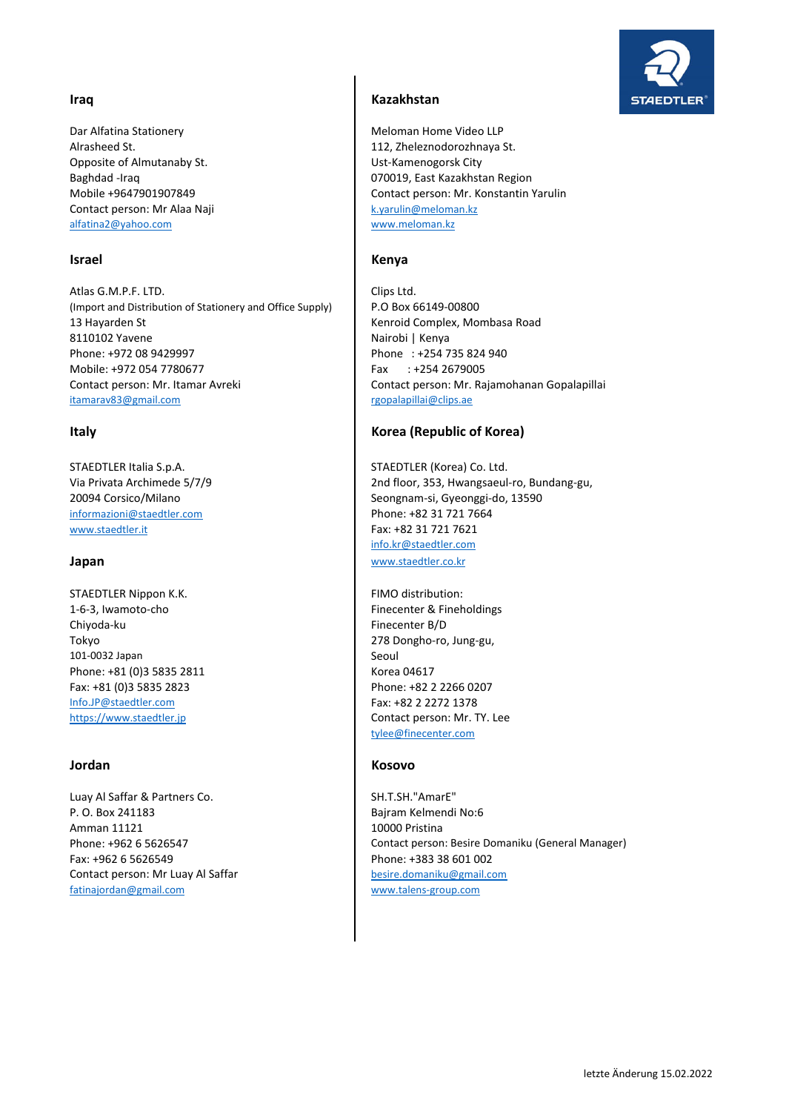Dar Alfatina Stationery **Meloman Home Video LLP** Alrasheed St. 112, Zheleznodorozhnaya St. Opposite of Almutanaby St. North States and Musculi Ust-Kamenogorsk City Contact person: Mr Alaa Naji k.yarulin@meloman.kz alfatina2@yahoo.com

Atlas G.M.P.F. LTD. Clips Ltd. (Import and Distribution of Stationery and Office Supply) P.O Box 66149‐00800 13 Hayarden St Kenroid Complex, Mombasa Road 8110102 Yavene Nairobi | Kenya Phone: +972 08 9429997 Phone : +254 735 824 940 Mobile: +972 054 7780677 Fax : +254 2679005 Contact person: Mr. Itamar Avreki Contact person: Mr. Rajamohanan Gopalapillai itamarav83@gmail.com rgopalapillai@clips.ae

STAEDTLER Italia S.p.A. STAEDTLER (Korea) Co. Ltd. informazioni@staedtler.com Phone: +82 31 721 7664 www.staedtler.it Fax: +82 31 721 7621

STAEDTLER Nippon K.K. **FIMO** distribution: 1-6-3, Iwamoto-cho **Finecenter & Fineholdings** Chiyoda-ku Finecenter B/D Tokyo 278 Dongho-ro, Jung-gu, 101-0032 Japan Seoul Phone: +81 (0)3 5835 2811 Korea 04617 Fax: +81 (0)3 5835 2823 Phone: +82 2 2266 0207 Info.JP@staedtler.com Fax: +82 2 2272 1378

Luay Al Saffar & Partners Co. Show the SH.T.SH."AmarE" P. O. Box 241183 Bajram Kelmendi No:6 Amman 11121 10000 Pristina Fax: +962 6 5626549 Phone: +383 38 601 002 Contact person: Mr Luay Al Saffar density besire.domaniku@gmail.com fatinajordan@gmail.com www.talens‐group.com

## **Iraq Kazakhstan**

Baghdad ‐Iraq 070019, East Kazakhstan Region Mobile +9647901907849 Contact person: Mr. Konstantin Yarulin

### **Israel** Kenya

## **Italy Korea (Republic of Korea)**

Via Privata Archimede 5/7/9 2nd floor, 353, Hwangsaeul‐ro, Bundang‐gu, 20094 Corsico/Milano Seongnam-si, Gyeonggi-do, 13590 info.kr@staedtler.com **Japan** www.staedtler.co.kr

https://www.staedtler.jp **Contact person: Mr. TY. Lee** tylee@finecenter.com

### **Jordan Kosovo**

Phone: +962 6 5626547 Contact person: Besire Domaniku (General Manager)

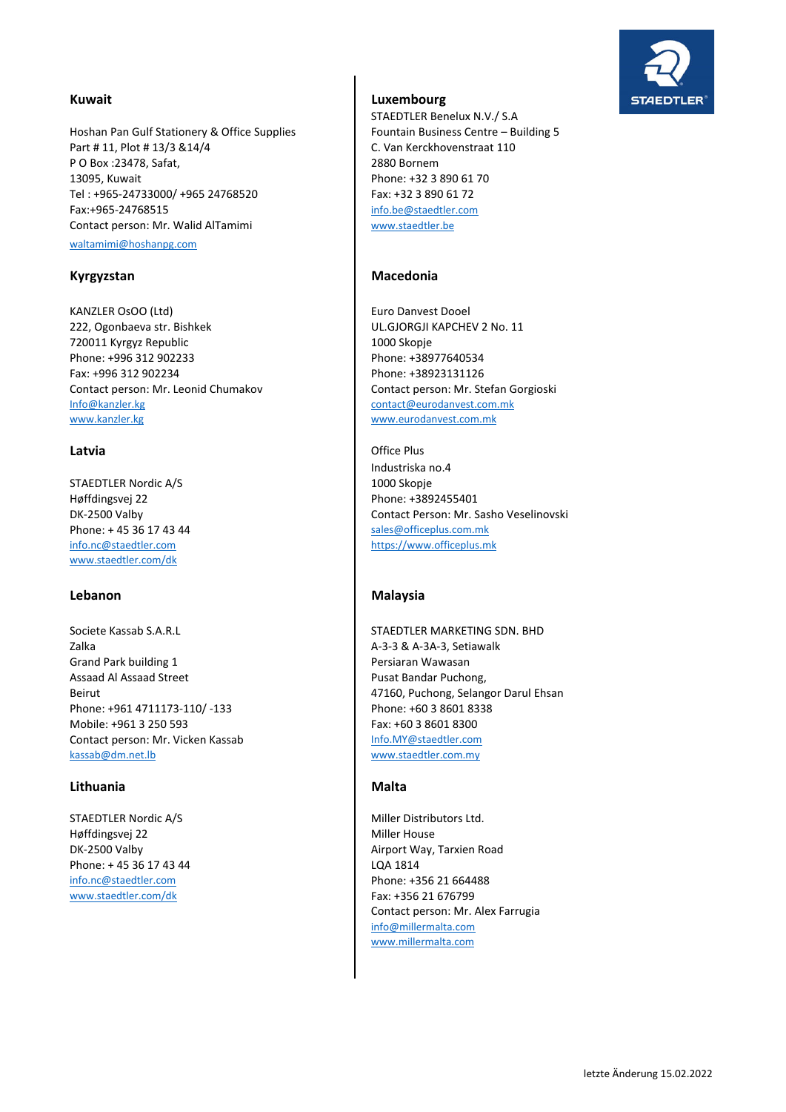Hoshan Pan Gulf Stationery & Office Supplies Fountain Business Centre – Building 5 Part # 11, Plot # 13/3 &14/4 C. Van Kerckhovenstraat 110 P O Box :23478, Safat, 2880 Bornem 13095, Kuwait Phone: +32 3 890 61 70 Tel : +965‐24733000/ +965 24768520 Fax: +32 3 890 61 72 Fax:+965-24768515 info.be@staedtler.com Contact person: Mr. Walid AlTamimi New Walter.be waltamimi@hoshanpg.com

KANZLER OsOO (Ltd) **Euro Danvest Dooel** 222, Ogonbaeva str. Bishkek UL.GJORGJI KAPCHEV 2 No. 11 720011 Kyrgyz Republic 1000 Skopje Phone: +996 312 902233 Phone: +38977640534 Fax: +996 312 902234 Phone: +38923131126 Contact person: Mr. Leonid Chumakov Contact person: Mr. Stefan Gorgioski Info@kanzler.kg contact@eurodanvest.com.mk www.kanzler.kg www.eurodanvest.com.mk

STAEDTLER Nordic A/S 1000 Skopje Høffdingsvej 22 **Phone: +3892455401** Phone: + 45 36 17 43 44 sales@officeplus.com.mk info.nc@staedtler.com https://www.officeplus.mk www.staedtler.com/dk

Societe Kassab S.A.R.L STAEDTLER MARKETING SDN. BHD Zalka A‐3‐3 & A‐3A‐3, Setiawalk Grand Park building 1 **Persiaran Wawasan** Assaad Al Assaad Street **Pusat Bandar Puchong**, **Pusat Bandar Puchong**, Phone: +961 4711173-110/ -133 Phone: +60 3 8601 8338 Mobile: +961 3 250 593 Fax: +60 3 8601 8300 Contact person: Mr. Vicken Kassab Info.MY@staedtler.com kassab@dm.net.lb www.staedtler.com.my

## Lithuania **Malta**

Høffdingsvej 22 Miller House Phone: + 45 36 17 43 44 LQA 1814 info.nc@staedtler.com Phone: +356 21 664488 www.staedtler.com/dk Fax: +356 21 676799

# **Kuwait Luxembourg**

STAEDTLER Benelux N.V./ S.A

### Kyrgyzstan Macedonia

**Latvia Contract Contract Contract Contract Contract Contract Contract Contract Contract Contract Contract Contract Contract Contract Contract Contract Contract Contract Contract Contract Contract Contract Contract Contr** Industriska no.4 DK-2500 Valby Contact Person: Mr. Sasho Veselinovski

### Lebanon **Malaysia Malaysia**

Beirut **1988** Beirut 1988 **Accord 1989 12:30 12:47160, Puchong, Selangor Darul Ehsan** 

STAEDTLER Nordic A/S Miller Distributors Ltd. DK‐2500 Valby Airport Way, Tarxien Road Contact person: Mr. Alex Farrugia info@millermalta.com www.millermalta.com

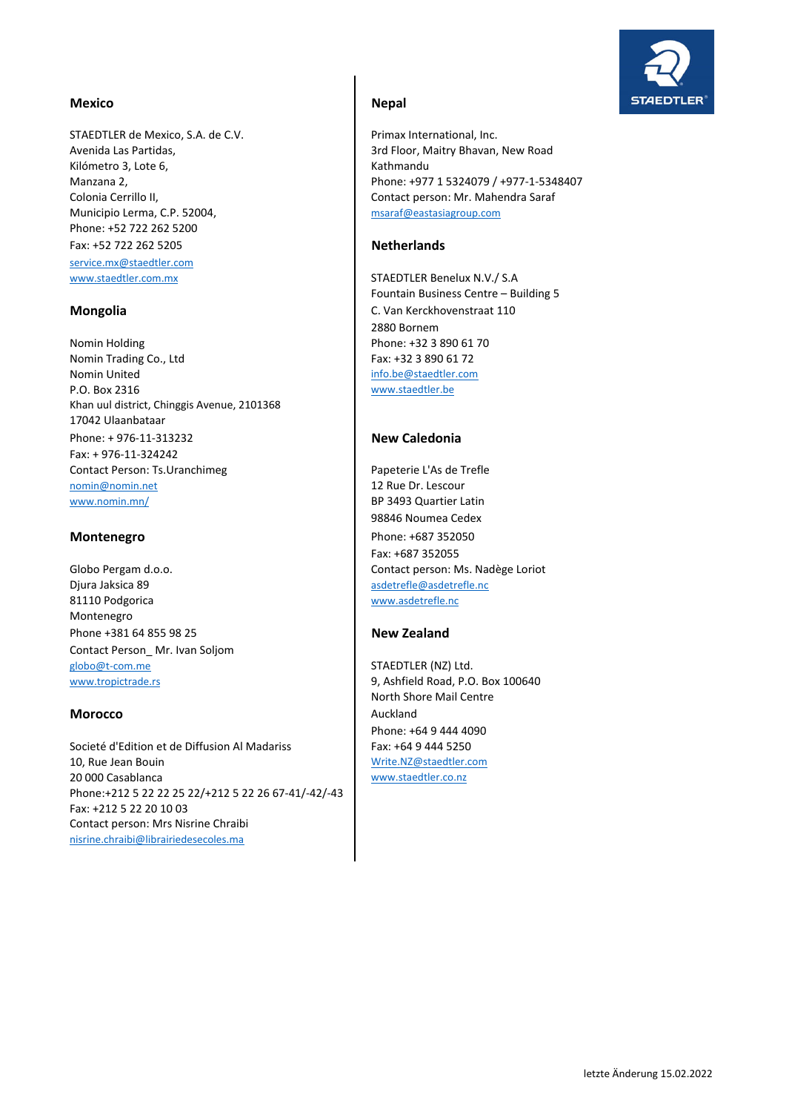### Mexico **Next** Nepal

STAEDTLER de Mexico, S.A. de C.V. Primax International, Inc. Kilómetro 3, Lote 6, Kathmandu Municipio Lerma, C.P. 52004, msaraf@eastasiagroup.com Phone: +52 722 262 5200 Fax: +52 722 262 5205 **Netherlands** service.mx@staedtler.com www.staedtler.com.mx STAEDTLER Benelux N.V./ S.A

Nomin Holding **Phone: +32 3 890 61 70** Nomin Trading Co., Ltd Fax: +32 3 890 61 72 **Nomin United info.be@staedtler.com** P.O. Box 2316 www.staedtler.be Khan uul district, Chinggis Avenue, 2101368 17042 Ulaanbataar Phone: + 976‐11‐313232 **New Caledonia** Fax: + 976‐11‐324242 Contact Person: Ts.Uranchimeg Papeterie L'As de Trefle nomin@nomin.net 12 Rue Dr. Lescour www.nomin.mn/ BP 3493 Quartier Latin

Djura Jaksica 89 **associates** as a structure of the associates as a structure of the associates as a structure of the associates of the associates of the associates of the associates of the associates of the associates of 81110 Podgorica www.asdetrefle.nc Montenegro Phone +381 64 855 98 25 **New Zealand** Contact Person\_ Mr. Ivan Soljom globo@t-com.me STAEDTLER (NZ) Ltd.

### **Morocco** Auckland

Societé d'Edition et de Diffusion Al Madariss Fax: +64 9 444 5250 10, Rue Jean Bouin National Accounts and Music Write.NZ@staedtler.com 20 000 Casablanca www.staedtler.co.nz Phone:+212 5 22 22 25 22/+212 5 22 26 67‐41/‐42/‐43 Fax: +212 5 22 20 10 03 Contact person: Mrs Nisrine Chraibi nisrine.chraibi@librairiedesecoles.ma

# **STAEDTLER**

Avenida Las Partidas, 3. The State of the State of State and State and State and State Avenida Las Partidas, Manzana 2, Phone: +977 1 5324079 / +977‐1‐5348407 Colonia Cerrillo II, Contact person: Mr. Mahendra Saraf

Fountain Business Centre – Building 5 **Mongolia C.** Van Kerckhovenstraat 110 2880 Bornem

98846 Noumea Cedex **Montenegro** Phone: +687 352050 Fax: +687 352055 Globo Pergam d.o.o. Contact person: Ms. Nadège Loriot

www.tropictrade.rs 8, Ashfield Road, P.O. Box 100640 North Shore Mail Centre Phone: +64 9 444 4090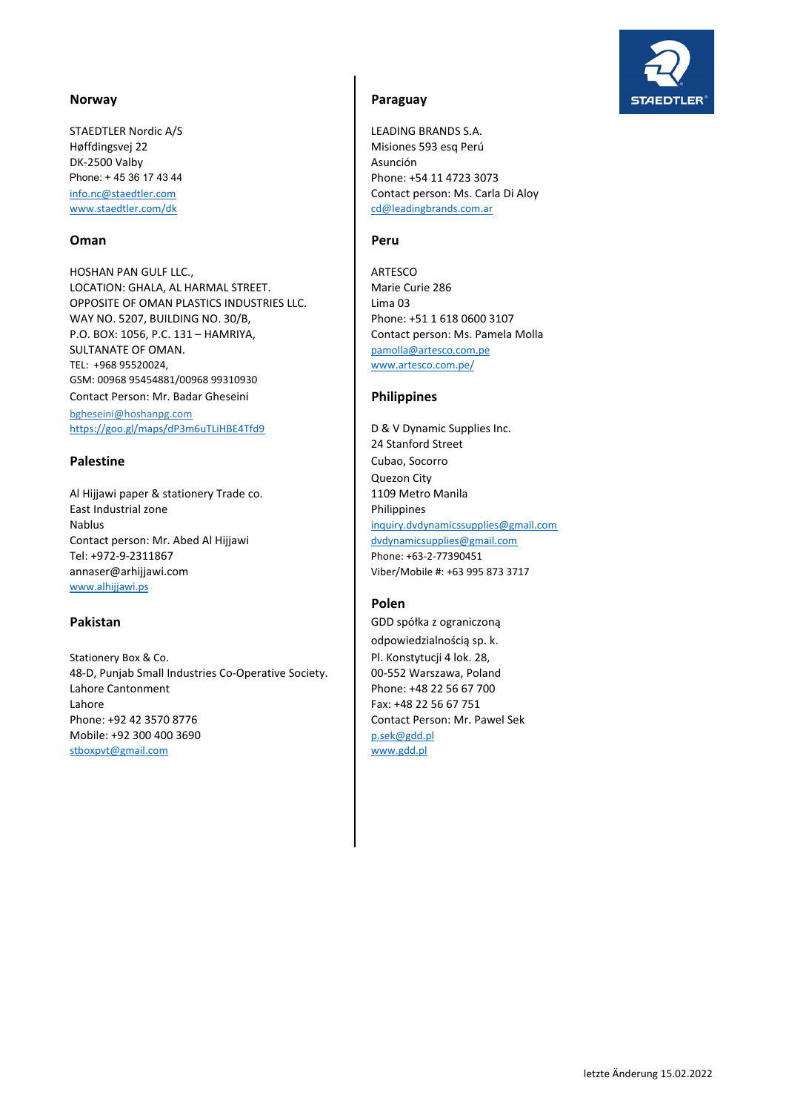STAEDTLER Nordic A/S LEADING BRANDS S.A. Høffdingsvej 22 Misiones 593 esq Perú DK-2500 Valby **Asunción** 

## **Oman** Peru

HOSHAN PAN GULF LLC., ARTESCO LOCATION: GHALA, AL HARMAL STREET. Marie Curie 286 OPPOSITE OF OMAN PLASTICS INDUSTRIES LLC. Lima 03 WAY NO. 5207, BUILDING NO. 30/B, Phone: +51 1 618 0600 3107 P.O. BOX: 1056, P.C. 131 – HAMRIYA, <br>
Contact person: Ms. Pamela Molla SULTANATE OF OMAN. **pamolla@artesco.com.pe** TEL: +968 95520024, www.artesco.com.pe/ GSM: 00968 95454881/00968 99310930 Contact Person: Mr. Badar Gheseini **Philippines** bgheseini@hoshanpg.com https://goo.gl/maps/dP3m6uTLiHBE4Tfd9 D & V Dynamic Supplies Inc.

Al Hijjawi paper & stationery Trade co. 1109 Metro Manila East Industrial zone **Philippines** Nablus inquiry.dvdynamicssupplies@gmail.com Contact person: Mr. Abed Al Hijjawi dvdynamicsupplies@gmail.com Tel: +972-9-2311867 Phone: +63-2-77390451 annaser@arhijjawi.com Viber/Mobile #: +63 995 873 3717 www.alhijjawi.ps

Stationery Box & Co. **Pl. Konstytucji 4 lok. 28**, 48‐D, Punjab Small Industries Co‐Operative Society. 00‐552 Warszawa, Poland Lahore Cantonment **Phone: +48 22 56 67 700** Lahore Fax: +48 22 56 67 751 Phone: +92 42 3570 8776 Contact Person: Mr. Pawel Sek Mobile: +92 300 400 3690 p.sek@gdd.pl stboxpvt@gmail.com www.gdd.pl



### **Norway Paraguay**

Phone: + 45 36 17 43 44 Phone: +54 11 4723 3073 info.nc@staedtler.com **Contact person: Ms. Carla Di Aloy** www.staedtler.com/dk cd@leadingbrands.com.ar

24 Stanford Street **Palestine Cubao, Socorro** Quezon City

# **Polen**

**Pakistan** GDD spółka z ograniczoną odpowiedzialnością sp. k.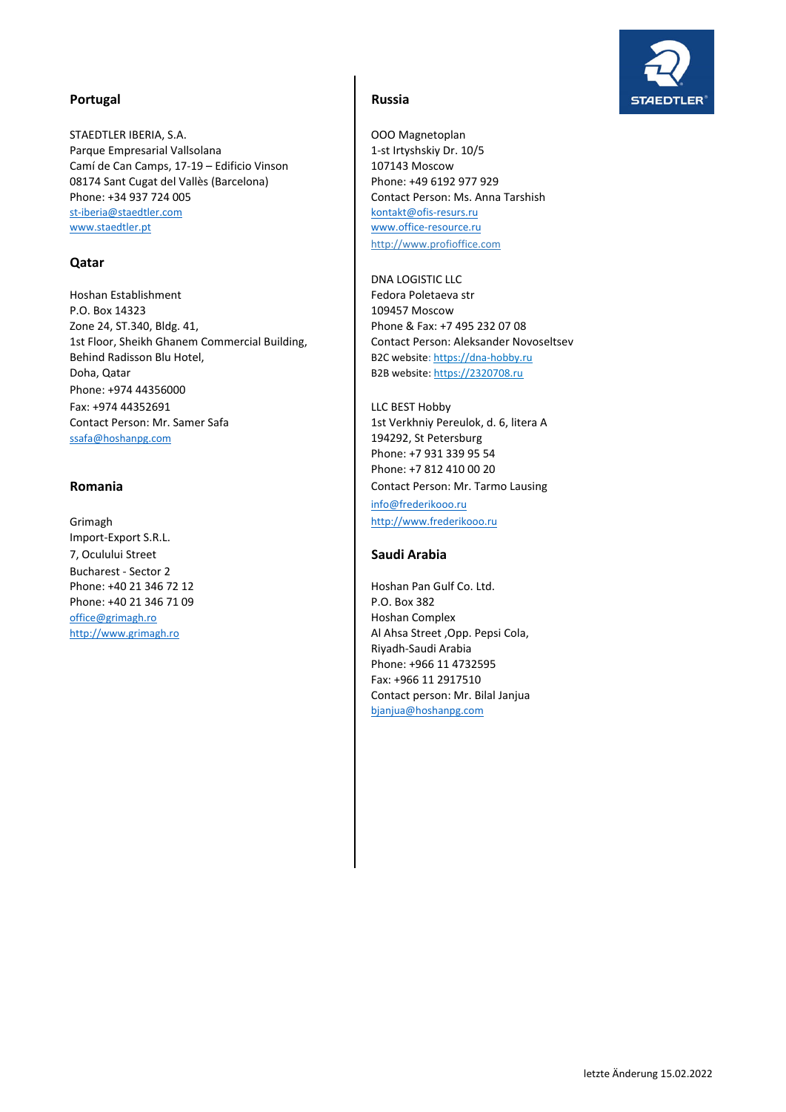

# Portugal **Russia**

STAEDTLER IBERIA, S.A. **COMITABLE ISLACE COMITS** OOO Magnetoplan Parque Empresarial Vallsolana 1997 | 1-st Irtyshskiy Dr. 10/5 Camí de Can Camps, 17-19 – Edificio Vinson | 107143 Moscow 08174 Sant Cugat del Vallès (Barcelona) Phone: +34 937 724 005 st‐iberia@staedtler.com kontakt@ofis‐resurs.ru www.staedtler.pt www.office-resource.ru

# **Qatar**

Hoshan Establishment Fedora Poletaeva str P.O. Box 14323 2001 109457 Moscow Zone 24, ST.340, Bldg. 41, Phone & Fax: +7 495 232 07 08 1st Floor, Sheikh Ghanem Commercial Building, Contact Person: Aleksander Novoseltsev Behind Radisson Blu Hotel, Basic Back website: https://dna-hobby.ru Doha, Qatar **B2B** website: https://2320708.ru Phone: +974 44356000 Fax: +974 44352691 LLC BEST Hobby Contact Person: Mr. Samer Safa 1st Verkhniy Pereulok, d. 6, litera A ssafa@hoshanpg.com 194292, St Petersburg

Import‐Export S.R.L. 7, Oculului Street **Saudi Arabia** Bucharest ‐ Sector 2 Phone: +40 21 346 72 12 **Hoshan Pan Gulf Co. Ltd.** Phone: +40 21 346 71 09 Phone: +40 21 346 71 09 office@grimagh.ro **Hoshan Complex** 

http://www.profioffice.com Phone: +49 6192 977 929 Contact Person: Ms. Anna Tarshish

DNA LOGISTIC LLC

Phone: +7 931 339 95 54 Phone: +7 812 410 00 20 **Romania Contact Person: Mr. Tarmo Lausing** info@frederikooo.ru Grimagh **http://www.frederikooo.ru** 

http://www.grimagh.ro Al Ahsa Street ,Opp. Pepsi Cola, Riyadh‐Saudi Arabia Phone: +966 11 4732595 Fax: +966 11 2917510 Contact person: Mr. Bilal Janjua bjanjua@hoshanpg.com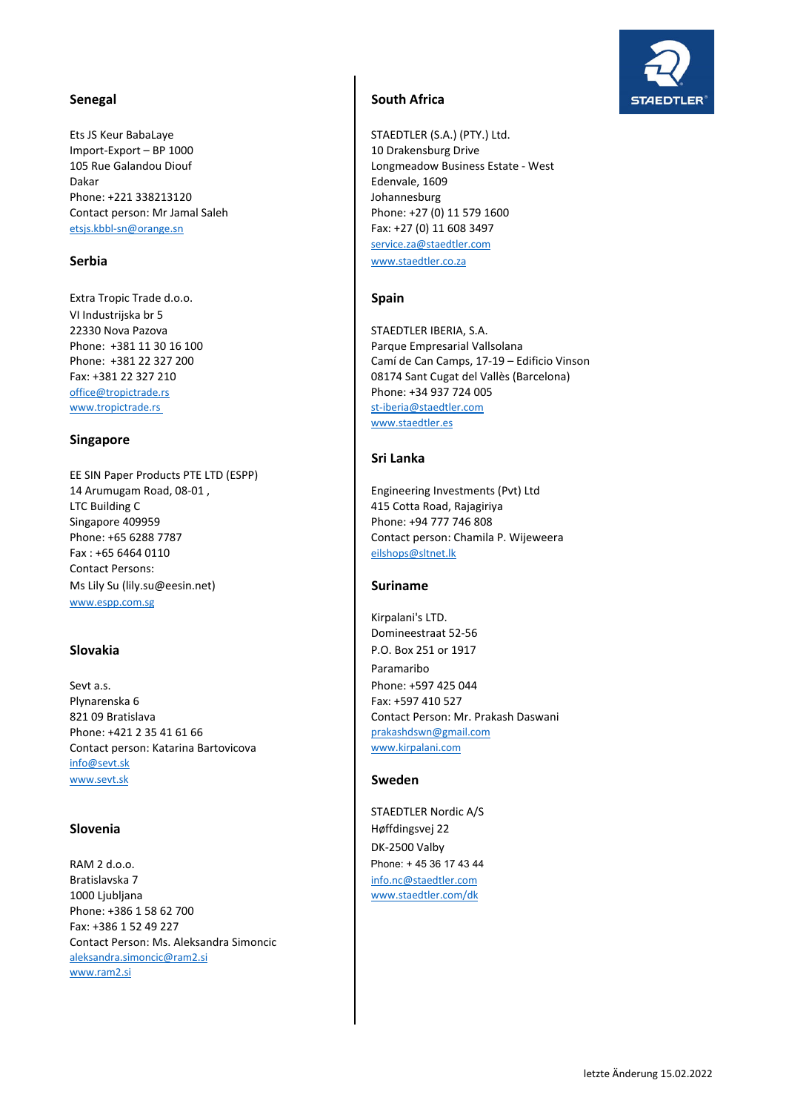Ets JS Keur BabaLaye **STAEDTLER (S.A.)** (PTY.) Ltd. Import-Export – BP 1000 10 Drakensburg Drive Dakar **Edenvale, 1609** Phone: +221 338213120 Johannesburg Contact person: Mr Jamal Saleh Phone: +27 (0) 11 579 1600 etsjs.kbbl-sn@orange.sn Fax: +27 (0) 11 608 3497

Extra Tropic Trade d.o.o. **Spain Spain** VI Industrijska br 5 22330 Nova Pazova STAEDTLER IBERIA, S.A. office@tropictrade.rs **Phone: +34 937 724 005** www.tropictrade.rs st‐iberia@staedtler.com

### **Singapore**

EE SIN Paper Products PTE LTD (ESPP) 14 Arumugam Road, 08-01, The Contract of Lucia and Lucia investments (Pvt) Ltd LTC Building C 415 Cotta Road, Rajagiriya Singapore 409959 Phone: +94 777 746 808 Fax : +65 6464 0110 eilshops@sltnet.lk Contact Persons: Ms Lily Su (lily.su@eesin.net) **Suriname** www.espp.com.sg

Sevt a.s. **Phone: +597 425 044** Plynarenska 6 Fax: +597 410 527 821 09 Bratislava Contact Person: Mr. Prakash Daswani Phone: +421 2 35 41 61 66 prakashdswn@gmail.com Contact person: Katarina Bartovicova www.kirpalani.com info@sevt.sk www.sevt.sk **Sweden** 

RAM 2 d.o.o. Phone: + 45 36 17 43 44 **Bratislavska 7** info.nc@staedtler.com 1000 Ljubljana www.staedtler.com/dk Phone: +386 1 58 62 700 Fax: +386 1 52 49 227 Contact Person: Ms. Aleksandra Simoncic aleksandra.simoncic@ram2.si www.ram2.si

### **Senegal South Africa**

105 Rue Galandou Diouf **Longmeadow Business Estate - West** service.za@staedtler.com **Serbia** www.staedtler.co.za

Phone: +381 11 30 16 100 Parque Empresarial Vallsolana Phone: +381 22 327 200 Camí de Can Camps, 17‐19 – Edificio Vinson Fax: +381 22 327 210 08174 Sant Cugat del Vallès (Barcelona) www.staedtler.es

### **Sri Lanka**

Phone: +65 6288 7787 Contact person: Chamila P. Wijeweera

Kirpalani's LTD. Domineestraat 52‐56 **Slovakia** P.O. Box 251 or 1917 Paramaribo

STAEDTLER Nordic A/S **Slovenia** Høffdingsvej 22 DK‐2500 Valby

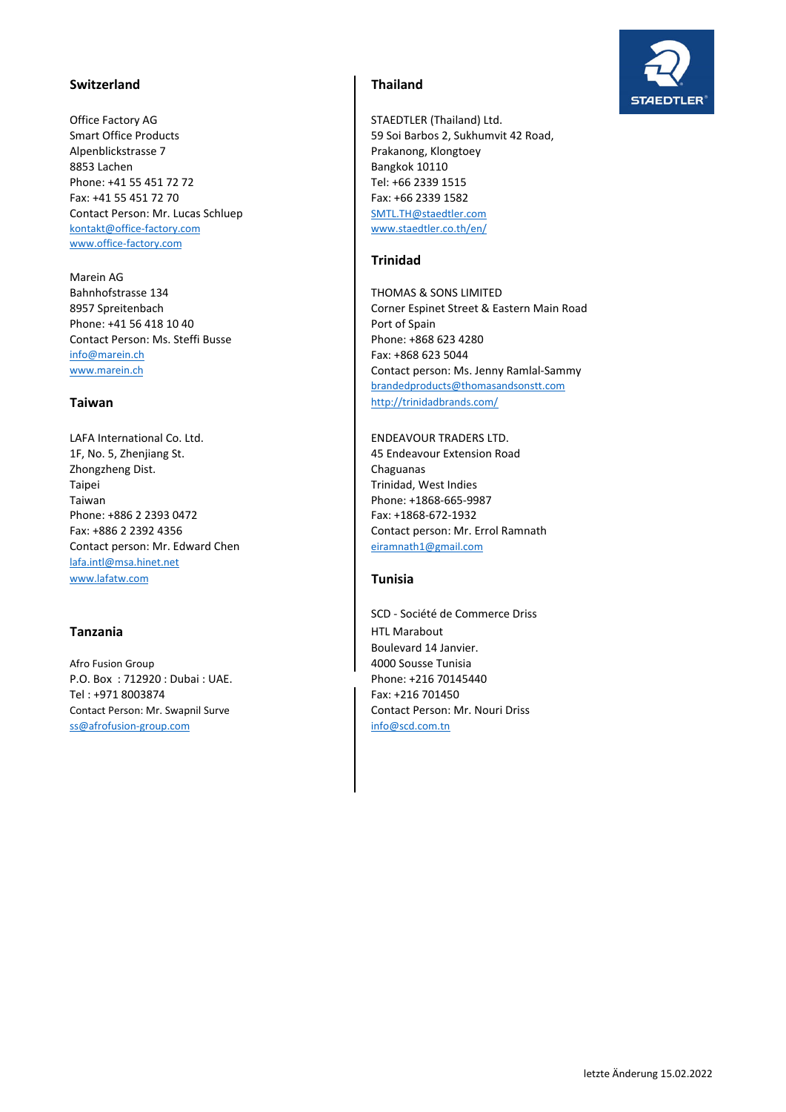# **Switzerland Thailand**

Office Factory AG STAEDTLER (Thailand) Ltd. Alpenblickstrasse 7 Prakanong, Klongtoey 8853 Lachen **Bangkok 10110** Phone: +41 55 451 72 72 Tel: +66 2339 1515 Fax: +41 55 451 72 70 Fax: +66 2339 1582 Contact Person: Mr. Lucas Schluep SMTL.TH@staedtler.com kontakt@office-factory.com www.staedtler.co.th/en/ www.office‐factory.com

Marein AG Bahnhofstrasse 134 THOMAS & SONS LIMITED Phone: +41 56 418 10 40 Port of Spain Contact Person: Ms. Steffi Busse Phone: +868 623 4280 info@marein.ch Fax: +868 623 5044

LAFA International Co. Ltd. ENDEAVOUR TRADERS LTD. 1F, No. 5, Zhenjiang St. 45 Endeavour Extension Road Zhongzheng Dist. **Chaguanas Chaguanas Chaguanas** Taipei **Trinidad**, West Indies Taiwan **Phone: +1868-665-9987** Phone: +886 2 2393 0472 Fax: +1868-672-1932 Contact person: Mr. Edward Chen eiramnath1@gmail.com lafa.intl@msa.hinet.net www.lafatw.com **Tunisia**

Afro Fusion Group **1988** Afrontisia **1988** P.O. Box : 712920 : Dubai : UAE. Phone: +216 70145440 Tel : +971 8003874 Fax: +216 701450 Contact Person: Mr. Swapnil Surve Contact Person: Mr. Nouri Driss ss@afrofusion-group.com info@scd.com.tn

Smart Office Products **59 Soi Barbos 2, Sukhumvit 42 Road,** 

### **Trinidad**

8957 Spreitenbach Corner Espinet Street & Eastern Main Road www.marein.ch Contact person: Ms. Jenny Ramlal-Sammy brandedproducts@thomasandsonstt.com **Taiwan http://trinidadbrands.com/** 

Fax: +886 2 2392 4356 Contact person: Mr. Errol Ramnath

SCD ‐ Société de Commerce Driss **Tanzania HTL Marabout HTL Marabout** Boulevard 14 Janvier.